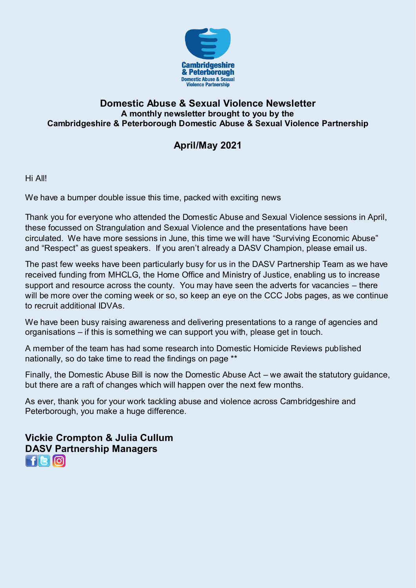

### **Domestic Abuse & Sexual Violence Newsletter A monthly newsletter brought to you by the Cambridgeshire & Peterborough Domestic Abuse & Sexual Violence Partnership**

# **April/May 2021**

Hi All!

We have a bumper double issue this time, packed with exciting news

Thank you for everyone who attended the Domestic Abuse and Sexual Violence sessions in April, these focussed on Strangulation and Sexual Violence and the presentations have been circulated. We have more sessions in June, this time we will have "Surviving Economic Abuse" and "Respect" as guest speakers. If you aren't already a DASV Champion, please email us.

The past few weeks have been particularly busy for us in the DASV Partnership Team as we have received funding from MHCLG, the Home Office and Ministry of Justice, enabling us to increase support and resource across the county. You may have seen the adverts for vacancies – there will be more over the coming week or so, so keep an eye on the CCC Jobs pages, as we continue to recruit additional IDVAs.

We have been busy raising awareness and delivering presentations to a range of agencies and organisations – if this is something we can support you with, please get in touch.

A member of the team has had some research into Domestic Homicide Reviews published nationally, so do take time to read the findings on page \*\*

Finally, the Domestic Abuse Bill is now the Domestic Abuse Act – we await the statutory guidance, but there are a raft of changes which will happen over the next few months.

As ever, thank you for your work tackling abuse and violence across Cambridgeshire and Peterborough, you make a huge difference.

**Vickie Crompton & Julia Cullum DASV Partnership Managers**   $H$ e $\omega$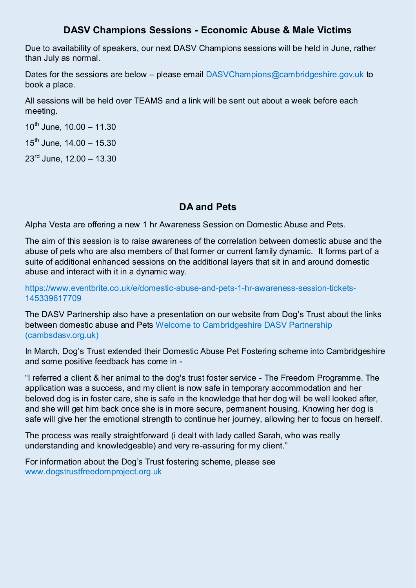### **DASV Champions Sessions - Economic Abuse & Male Victims**

Due to availability of speakers, our next DASV Champions sessions will be held in June, rather than July as normal.

Dates for the sessions are below – please email [DASVChampions@cambridgeshire.gov.uk](mailto:DASVChampions@cambridgeshire.gov.uk) to book a place.

All sessions will be held over TEAMS and a link will be sent out about a week before each meeting.

 $10^{th}$  June,  $10.00 - 11.30$ 

 $15^{th}$  June,  $14.00 - 15.30$ 

 $23^{\text{rd}}$  June, 12.00 - 13.30

### **DA and Pets**

Alpha Vesta are offering a new 1 hr Awareness Session on Domestic Abuse and Pets.

The aim of this session is to raise awareness of the correlation between domestic abuse and the abuse of pets who are also members of that former or current family dynamic. It forms part of a suite of additional enhanced sessions on the additional layers that sit in and around domestic abuse and interact with it in a dynamic way.

[https://www.eventbrite.co.uk/e/domestic-abuse-and-pets-1-hr-awareness-session-tickets-](https://www.eventbrite.co.uk/e/domestic-abuse-and-pets-1-hr-awareness-session-tickets-145339617709)[145339617709](https://www.eventbrite.co.uk/e/domestic-abuse-and-pets-1-hr-awareness-session-tickets-145339617709)

The DASV Partnership also have a presentation on our website from Dog's Trust about the links between domestic abuse and Pets [Welcome to Cambridgeshire DASV Partnership](https://www.cambsdasv.org.uk/website/training_presentations_for_professionals/502658)  [\(cambsdasv.org.uk\)](https://www.cambsdasv.org.uk/website/training_presentations_for_professionals/502658)

In March, Dog's Trust extended their Domestic Abuse Pet Fostering scheme into Cambridgeshire and some positive feedback has come in -

"I referred a client & her animal to the dog's trust foster service - The Freedom Programme. The application was a success, and my client is now safe in temporary accommodation and her beloved dog is in foster care, she is safe in the knowledge that her dog will be well looked after, and she will get him back once she is in more secure, permanent housing. Knowing her dog is safe will give her the emotional strength to continue her journey, allowing her to focus on herself.

The process was really straightforward (i dealt with lady called Sarah, who was really understanding and knowledgeable) and very re-assuring for my client."

For information about the Dog's Trust fostering scheme, please see [www.dogstrustfreedomproject.org.uk](http://www.dogstrustfreedomproject.org.uk/)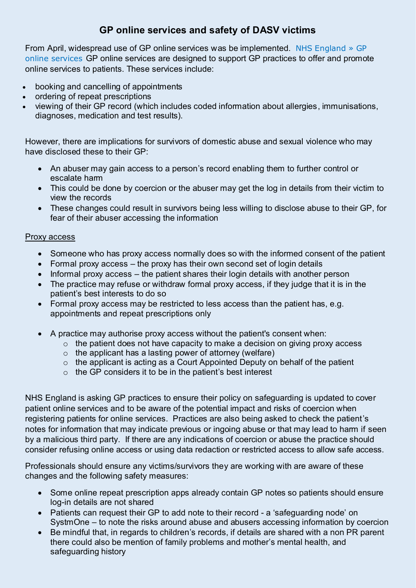### **GP online services and safety of DASV victims**

From April, widespread use of GP online services was be implemented. [NHS England » GP](https://www.england.nhs.uk/gp-online-services/)  [online services](https://www.england.nhs.uk/gp-online-services/) GP online services are designed to support GP practices to offer and promote online services to patients. These services include:

- booking and cancelling of appointments
- ordering of repeat prescriptions
- viewing of their GP record (which includes coded information about allergies, immunisations, diagnoses, medication and test results).

However, there are implications for survivors of domestic abuse and sexual violence who may have disclosed these to their GP:

- An abuser may gain access to a person's record enabling them to further control or escalate harm
- This could be done by coercion or the abuser may get the log in details from their victim to view the records
- These changes could result in survivors being less willing to disclose abuse to their GP, for fear of their abuser accessing the information

#### Proxy access

- Someone who has proxy access normally does so with the informed consent of the patient
- Formal proxy access the proxy has their own second set of login details
- $\bullet$  Informal proxy access the patient shares their login details with another person
- The practice may refuse or withdraw formal proxy access, if they judge that it is in the patient's best interests to do so
- Formal proxy access may be restricted to less access than the patient has, e.g. appointments and repeat prescriptions only
- A practice may authorise proxy access without the patient's consent when:
	- $\circ$  the patient does not have capacity to make a decision on giving proxy access
	- $\circ$  the applicant has a lasting power of attorney (welfare)
	- $\circ$  the applicant is acting as a Court Appointed Deputy on behalf of the patient
	- $\circ$  the GP considers it to be in the patient's best interest

NHS England is asking GP practices to ensure their policy on safeguarding is updated to cover patient online services and to be aware of the potential impact and risks of coercion when registering patients for online services. Practices are also being asked to check the patient's notes for information that may indicate previous or ingoing abuse or that may lead to harm if seen by a malicious third party. If there are any indications of coercion or abuse the practice should consider refusing online access or using data redaction or restricted access to allow safe access.

Professionals should ensure any victims/survivors they are working with are aware of these changes and the following safety measures:

- Some online repeat prescription apps already contain GP notes so patients should ensure log-in details are not shared
- Patients can request their GP to add note to their record a 'safeguarding node' on SystmOne – to note the risks around abuse and abusers accessing information by coercion
- Be mindful that, in regards to children's records, if details are shared with a non PR parent there could also be mention of family problems and mother's mental health, and safeguarding history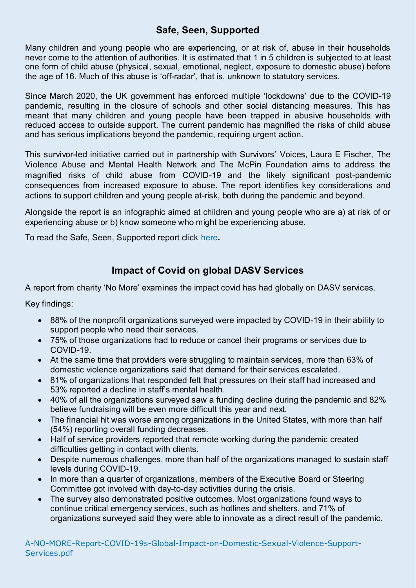### **Safe, Seen, Supported**

Many children and young people who are experiencing, or at risk of, abuse in their households never come to the attention of authorities. It is estimated that 1 in 5 children is subjected to at least one form of child abuse (physical, sexual, emotional, neglect, exposure to domestic abuse) before the age of 16. Much of this abuse is 'off-radar', that is, unknown to statutory services.

Since March 2020, the UK government has enforced multiple 'lockdowns' due to the COVID-19 pandemic, resulting in the closure of schools and other social distancing measures. This has meant that many children and young people have been trapped in abusive households with reduced access to outside support. The current pandemic has magnified the risks of child abuse and has serious implications beyond the pandemic, requiring urgent action.

This survivor-led initiative carried out in partnership with Survivors' Voices, Laura E Fischer, The Violence Abuse and Mental Health Network and The McPin Foundation aims to address the magnified risks of child abuse from COVID-19 and the likely significant post-pandemic consequences from increased exposure to abuse. The report identifies key considerations and actions to support children and young people at-risk, both during the pandemic and beyond.

Alongside the report is an infographic aimed at children and young people who are a) at risk of or experiencing abuse or b) know someone who might be experiencing abuse.

To read the Safe, Seen, Supported report click [here](https://eur03.safelinks.protection.outlook.com/?url=http%3A%2F%2Fwww.vamhn.co.uk%2Fuploads%2F1%2F2%2F2%2F7%2F122741688%2Fsafeseensupportedreport.pdf&data=04%7C01%7Cvamhn%40kcl.ac.uk%7C9a5984f2cf6c43e1273508d8e2204c7f%7C8370cf1416f34c16b83c724071654356%7C0%7C0%7C637507975674738104%7CUnknown%7CTWFpbGZsb3d8eyJWIjoiMC4wLjAwMDAiLCJQIjoiV2luMzIiLCJBTiI6Ik1haWwiLCJXVCI6Mn0%3D%7C1000&sdata=3zboiPrzoBi3hnBjqoOR7RUrK5WsaUG0ebAVn5nGABg%3D&reserved=0)**.** 

## **Impact of Covid on global DASV Services**

A report from charity 'No More' examines the impact covid has had globally on DASV services.

Key findings:

- 88% of the nonprofit organizations surveyed were impacted by COVID-19 in their ability to support people who need their services.
- 75% of those organizations had to reduce or cancel their programs or services due to COVID-19.
- At the same time that providers were struggling to maintain services, more than 63% of domestic violence organizations said that demand for their services escalated.
- 81% of organizations that responded felt that pressures on their staff had increased and 53% reported a decline in staff's mental health.
- 40% of all the organizations surveyed saw a funding decline during the pandemic and 82% believe fundraising will be even more difficult this year and next.
- The financial hit was worse among organizations in the United States, with more than half (54%) reporting overall funding decreases.
- Half of service providers reported that remote working during the pandemic created difficulties getting in contact with clients.
- Despite numerous challenges, more than half of the organizations managed to sustain staff levels during COVID-19.
- In more than a quarter of organizations, members of the Executive Board or Steering Committee got involved with day-to-day activities during the crisis.
- The survey also demonstrated positive outcomes. Most organizations found ways to continue critical emergency services, such as hotlines and shelters, and 71% of organizations surveyed said they were able to innovate as a direct result of the pandemic.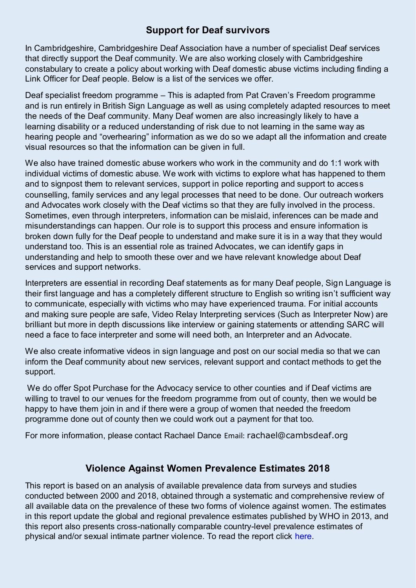### **Support for Deaf survivors**

In Cambridgeshire, Cambridgeshire Deaf Association have a number of specialist Deaf services that directly support the Deaf community. We are also working closely with Cambridgeshire constabulary to create a policy about working with Deaf domestic abuse victims including finding a Link Officer for Deaf people. Below is a list of the services we offer.

Deaf specialist freedom programme – This is adapted from Pat Craven's Freedom programme and is run entirely in British Sign Language as well as using completely adapted resources to meet the needs of the Deaf community. Many Deaf women are also increasingly likely to have a learning disability or a reduced understanding of risk due to not learning in the same way as hearing people and "overhearing" information as we do so we adapt all the information and create visual resources so that the information can be given in full.

We also have trained domestic abuse workers who work in the community and do 1:1 work with individual victims of domestic abuse. We work with victims to explore what has happened to them and to signpost them to relevant services, support in police reporting and support to access counselling, family services and any legal processes that need to be done. Our outreach workers and Advocates work closely with the Deaf victims so that they are fully involved in the process. Sometimes, even through interpreters, information can be mislaid, inferences can be made and misunderstandings can happen. Our role is to support this process and ensure information is broken down fully for the Deaf people to understand and make sure it is in a way that they would understand too. This is an essential role as trained Advocates, we can identify gaps in understanding and help to smooth these over and we have relevant knowledge about Deaf services and support networks.

Interpreters are essential in recording Deaf statements as for many Deaf people, Sign Language is their first language and has a completely different structure to English so writing isn't sufficient way to communicate, especially with victims who may have experienced trauma. For initial accounts and making sure people are safe, Video Relay Interpreting services (Such as Interpreter Now) are brilliant but more in depth discussions like interview or gaining statements or attending SARC will need a face to face interpreter and some will need both, an Interpreter and an Advocate.

We also create informative videos in sign language and post on our social media so that we can inform the Deaf community about new services, relevant support and contact methods to get the support.

 We do offer Spot Purchase for the Advocacy service to other counties and if Deaf victims are willing to travel to our venues for the freedom programme from out of county, then we would be happy to have them join in and if there were a group of women that needed the freedom programme done out of county then we could work out a payment for that too.

For more information, please contact Rachael Dance Email: [rachael@cambsdeaf.org](mailto:rachael@cambsdeaf.org)

## **Violence Against Women Prevalence Estimates 2018**

This report is based on an analysis of available prevalence data from surveys and studies conducted between 2000 and 2018, obtained through a systematic and comprehensive review of all available data on the prevalence of these two forms of violence against women. The estimates in this report update the global and regional prevalence estimates published by WHO in 2013, and this report also presents cross-nationally comparable country-level prevalence estimates of physical and/or sexual intimate partner violence. To read the report click [here.](https://eur03.safelinks.protection.outlook.com/?url=https%3A%2F%2Fcdn.who.int%2Fmedia%2Fdocs%2Fdefault-source%2Fdocuments%2Fviolence-prevention%2Fvaw_report_web_09032021_oleksandr.pdf%3Fsfvrsn%3Da82ef89c_5%26download%3Dtrue&data=04%7C01%7Cvamhn%40kcl.ac.uk%7Cdd5a39fb081d40b658ab08d8f383f376%7C8370cf1416f34c16b83c724071654356%7C0%7C0%7C637527095339360533%7CUnknown%7CTWFpbGZsb3d8eyJWIjoiMC4wLjAwMDAiLCJQIjoiV2luMzIiLCJBTiI6Ik1haWwiLCJXVCI6Mn0%3D%7C1000&sdata=LbRFuf0tQiB827SvRX0ZGayTcsKNYBeM79PdHy3bqUw%3D&reserved=0)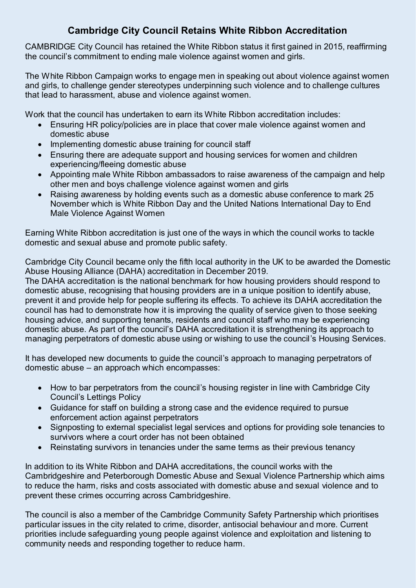## **Cambridge City Council Retains White Ribbon Accreditation**

CAMBRIDGE City Council has retained the White Ribbon status it first gained in 2015, reaffirming the council's commitment to ending male violence against women and girls.

The White Ribbon Campaign works to engage men in speaking out about violence against women and girls, to challenge gender stereotypes underpinning such violence and to challenge cultures that lead to harassment, abuse and violence against women.

Work that the council has undertaken to earn its White Ribbon accreditation includes:

- Ensuring HR policy/policies are in place that cover male violence against women and domestic abuse
- Implementing domestic abuse training for council staff
- Ensuring there are adequate support and housing services for women and children experiencing/fleeing domestic abuse
- Appointing male White Ribbon ambassadors to raise awareness of the campaign and help other men and boys challenge violence against women and girls
- Raising awareness by holding events such as a domestic abuse conference to mark 25 November which is White Ribbon Day and the United Nations International Day to End Male Violence Against Women

Earning White Ribbon accreditation is just one of the ways in which the council works to tackle domestic and sexual abuse and promote public safety.

Cambridge City Council became only the fifth local authority in the UK to be awarded the Domestic Abuse Housing Alliance (DAHA) accreditation in December 2019.

The DAHA accreditation is the national benchmark for how housing providers should respond to domestic abuse, recognising that housing providers are in a unique position to identify abuse, prevent it and provide help for people suffering its effects. To achieve its DAHA accreditation the council has had to demonstrate how it is improving the quality of service given to those seeking housing advice, and supporting tenants, residents and council staff who may be experiencing domestic abuse. As part of the council's DAHA accreditation it is strengthening its approach to managing perpetrators of domestic abuse using or wishing to use the council's Housing Services.

It has developed new documents to guide the council's approach to managing perpetrators of domestic abuse – an approach which encompasses:

- How to bar perpetrators from the council's housing register in line with Cambridge City Council's Lettings Policy
- Guidance for staff on building a strong case and the evidence required to pursue enforcement action against perpetrators
- Signposting to external specialist legal services and options for providing sole tenancies to survivors where a court order has not been obtained
- Reinstating survivors in tenancies under the same terms as their previous tenancy

In addition to its White Ribbon and DAHA accreditations, the council works with the Cambridgeshire and Peterborough Domestic Abuse and Sexual Violence Partnership which aims to reduce the harm, risks and costs associated with domestic abuse and sexual violence and to prevent these crimes occurring across Cambridgeshire.

The council is also a member of the Cambridge Community Safety Partnership which prioritises particular issues in the city related to crime, disorder, antisocial behaviour and more. Current priorities include safeguarding young people against violence and exploitation and listening to community needs and responding together to reduce harm.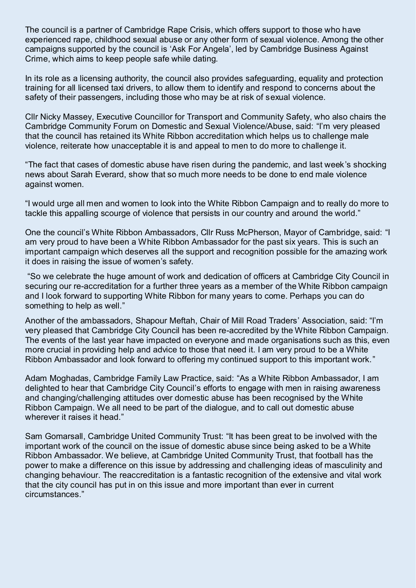The council is a partner of Cambridge Rape Crisis, which offers support to those who have experienced rape, childhood sexual abuse or any other form of sexual violence. Among the other campaigns supported by the council is 'Ask For Angela', led by Cambridge Business Against Crime, which aims to keep people safe while dating.

In its role as a licensing authority, the council also provides safeguarding, equality and protection training for all licensed taxi drivers, to allow them to identify and respond to concerns about the safety of their passengers, including those who may be at risk of sexual violence.

Cllr Nicky Massey, Executive Councillor for Transport and Community Safety, who also chairs the Cambridge Community Forum on Domestic and Sexual Violence/Abuse, said: "I'm very pleased that the council has retained its White Ribbon accreditation which helps us to challenge male violence, reiterate how unacceptable it is and appeal to men to do more to challenge it.

"The fact that cases of domestic abuse have risen during the pandemic, and last week's shocking news about Sarah Everard, show that so much more needs to be done to end male violence against women.

"I would urge all men and women to look into the White Ribbon Campaign and to really do more to tackle this appalling scourge of violence that persists in our country and around the world."

One the council's White Ribbon Ambassadors, Cllr Russ McPherson, Mayor of Cambridge, said: "I am very proud to have been a White Ribbon Ambassador for the past six years. This is such an important campaign which deserves all the support and recognition possible for the amazing work it does in raising the issue of women's safety.

"So we celebrate the huge amount of work and dedication of officers at Cambridge City Council in securing our re-accreditation for a further three years as a member of the White Ribbon campaign and I look forward to supporting White Ribbon for many years to come. Perhaps you can do something to help as well."

Another of the ambassadors, Shapour Meftah, Chair of Mill Road Traders' Association, said: "I'm very pleased that Cambridge City Council has been re-accredited by the White Ribbon Campaign. The events of the last year have impacted on everyone and made organisations such as this, even more crucial in providing help and advice to those that need it. I am very proud to be a White Ribbon Ambassador and look forward to offering my continued support to this important work."

Adam Moghadas, Cambridge Family Law Practice, said: "As a White Ribbon Ambassador, I am delighted to hear that Cambridge City Council's efforts to engage with men in raising awareness and changing/challenging attitudes over domestic abuse has been recognised by the White Ribbon Campaign. We all need to be part of the dialogue, and to call out domestic abuse wherever it raises it head."

Sam Gomarsall, Cambridge United Community Trust: "It has been great to be involved with the important work of the council on the issue of domestic abuse since being asked to be a White Ribbon Ambassador. We believe, at Cambridge United Community Trust, that football has the power to make a difference on this issue by addressing and challenging ideas of masculinity and changing behaviour. The reaccreditation is a fantastic recognition of the extensive and vital work that the city council has put in on this issue and more important than ever in current circumstances."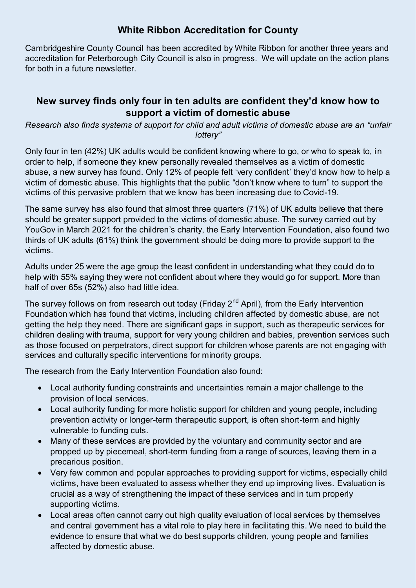### **White Ribbon Accreditation for County**

Cambridgeshire County Council has been accredited by White Ribbon for another three years and accreditation for Peterborough City Council is also in progress. We will update on the action plans for both in a future newsletter.

### **New survey finds only four in ten adults are confident they'd know how to support a victim of domestic abuse**

*Research also finds systems of support for child and adult victims of domestic abuse are an "unfair lottery"*

Only four in ten (42%) UK adults would be confident knowing where to go, or who to speak to, in order to help, if someone they knew personally revealed themselves as a victim of domestic abuse, a new survey has found. Only 12% of people felt 'very confident' they'd know how to help a victim of domestic abuse. This highlights that the public "don't know where to turn" to support the victims of this pervasive problem that we know has been increasing due to Covid-19.

The same survey has also found that almost three quarters (71%) of UK adults believe that there should be greater support provided to the victims of domestic abuse. The survey carried out by YouGov in March 2021 for the children's charity, the Early Intervention Foundation, also found two thirds of UK adults (61%) think the government should be doing more to provide support to the victims.

Adults under 25 were the age group the least confident in understanding what they could do to help with 55% saying they were not confident about where they would go for support. More than half of over 65s (52%) also had little idea.

The survey follows on from research out today (Friday  $2<sup>nd</sup>$  April), from the Early Intervention Foundation which has found that victims, including children affected by domestic abuse, are not getting the help they need. There are significant gaps in support, such as therapeutic services for children dealing with trauma, support for very young children and babies, prevention services such as those focused on perpetrators, direct support for children whose parents are not engaging with services and culturally specific interventions for minority groups.

The research from the Early Intervention Foundation also found:

- Local authority funding constraints and uncertainties remain a major challenge to the provision of local services.
- Local authority funding for more holistic support for children and young people, including prevention activity or longer-term therapeutic support, is often short-term and highly vulnerable to funding cuts.
- Many of these services are provided by the voluntary and community sector and are propped up by piecemeal, short-term funding from a range of sources, leaving them in a precarious position.
- Very few common and popular approaches to providing support for victims, especially child victims, have been evaluated to assess whether they end up improving lives. Evaluation is crucial as a way of strengthening the impact of these services and in turn properly supporting victims.
- Local areas often cannot carry out high quality evaluation of local services by themselves and central government has a vital role to play here in facilitating this. We need to build the evidence to ensure that what we do best supports children, young people and families affected by domestic abuse.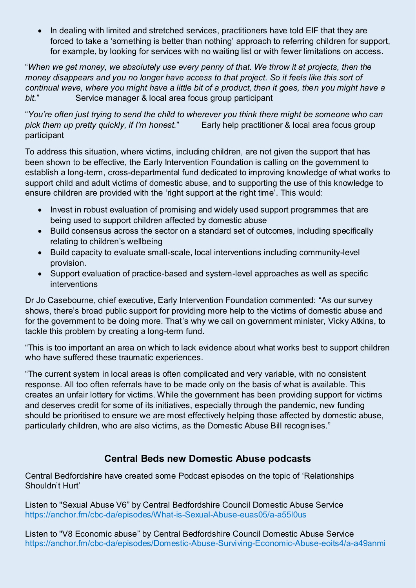• In dealing with limited and stretched services, practitioners have told EIF that they are forced to take a 'something is better than nothing' approach to referring children for support, for example, by looking for services with no waiting list or with fewer limitations on access.

"*When we get money, we absolutely use every penny of that. We throw it at projects, then the money disappears and you no longer have access to that project. So it feels like this sort of continual wave, where you might have a little bit of a product, then it goes, then you might have a bit.*" Service manager & local area focus group participant

"*You're often just trying to send the child to wherever you think there might be someone who can pick them up pretty quickly, if I'm honest.*" Early help practitioner & local area focus group participant

To address this situation, where victims, including children, are not given the support that has been shown to be effective, the Early Intervention Foundation is calling on the government to establish a long-term, cross-departmental fund dedicated to improving knowledge of what works to support child and adult victims of domestic abuse, and to supporting the use of this knowledge to ensure children are provided with the 'right support at the right time'. This would:

- Invest in robust evaluation of promising and widely used support programmes that are being used to support children affected by domestic abuse
- Build consensus across the sector on a standard set of outcomes, including specifically relating to children's wellbeing
- Build capacity to evaluate small-scale, local interventions including community-level provision.
- Support evaluation of practice-based and system-level approaches as well as specific interventions

Dr Jo Casebourne, chief executive, Early Intervention Foundation commented: "As our survey shows, there's broad public support for providing more help to the victims of domestic abuse and for the government to be doing more. That's why we call on government minister, Vicky Atkins, to tackle this problem by creating a long-term fund.

"This is too important an area on which to lack evidence about what works best to support children who have suffered these traumatic experiences.

"The current system in local areas is often complicated and very variable, with no consistent response. All too often referrals have to be made only on the basis of what is available. This creates an unfair lottery for victims. While the government has been providing support for victims and deserves credit for some of its initiatives, especially through the pandemic, new funding should be prioritised to ensure we are most effectively helping those affected by domestic abuse, particularly children, who are also victims, as the Domestic Abuse Bill recognises."

## **Central Beds new Domestic Abuse podcasts**

Central Bedfordshire have created some Podcast episodes on the topic of 'Relationships Shouldn't Hurt'

Listen to "Sexual Abuse V6" by Central Bedfordshire Council Domestic Abuse Service <https://anchor.fm/cbc-da/episodes/What-is-Sexual-Abuse-euas05/a-a55l0us>

Listen to "V8 Economic abuse" by Central Bedfordshire Council Domestic Abuse Service <https://anchor.fm/cbc-da/episodes/Domestic-Abuse-Surviving-Economic-Abuse-eoits4/a-a49anmi>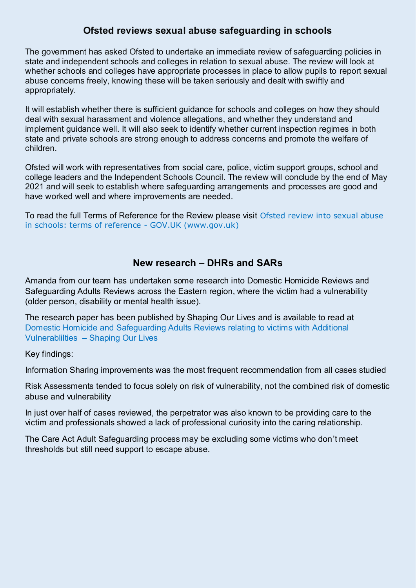### **Ofsted reviews sexual abuse safeguarding in schools**

The government has asked Ofsted to undertake an immediate review of safeguarding policies in state and independent schools and colleges in relation to sexual abuse. The review will look at whether schools and colleges have appropriate processes in place to allow pupils to report sexual abuse concerns freely, knowing these will be taken seriously and dealt with swiftly and appropriately.

It will establish whether there is sufficient guidance for schools and colleges on how they should deal with sexual harassment and violence allegations, and whether they understand and implement guidance well. It will also seek to identify whether current inspection regimes in both state and private schools are strong enough to address concerns and promote the welfare of children.

Ofsted will work with representatives from social care, police, victim support groups, school and college leaders and the Independent Schools Council. The review will conclude by the end of May 2021 and will seek to establish where safeguarding arrangements and processes are good and have worked well and where improvements are needed.

To read the full Terms of Reference for the Review please visit [Ofsted review into sexual abuse](https://www.gov.uk/government/publications/ofsted-review-of-sexual-abuse/ofsted-review-into-sexual-abuse-in-schools-terms-of-reference)  [in schools: terms of reference - GOV.UK \(www.gov.uk\)](https://www.gov.uk/government/publications/ofsted-review-of-sexual-abuse/ofsted-review-into-sexual-abuse-in-schools-terms-of-reference) 

### **New research – DHRs and SARs**

Amanda from our team has undertaken some research into Domestic Homicide Reviews and Safeguarding Adults Reviews across the Eastern region, where the victim had a vulnerability (older person, disability or mental health issue).

The research paper has been published by Shaping Our Lives and is available to read at [Domestic Homicide and Safeguarding Adults Reviews relating to victims with Additional](https://www.shapingourlives.org.uk/resources-our-resources-research-reports-domestic-homicide-and-safeguarding-adults-reviews-relating-to-victims-with-additional-vulnerablilties)  Vulnerablilties – [Shaping Our Lives](https://www.shapingourlives.org.uk/resources-our-resources-research-reports-domestic-homicide-and-safeguarding-adults-reviews-relating-to-victims-with-additional-vulnerablilties)

Key findings:

Information Sharing improvements was the most frequent recommendation from all cases studied

Risk Assessments tended to focus solely on risk of vulnerability, not the combined risk of domestic abuse and vulnerability

In just over half of cases reviewed, the perpetrator was also known to be providing care to the victim and professionals showed a lack of professional curiosity into the caring relationship.

The Care Act Adult Safeguarding process may be excluding some victims who don't meet thresholds but still need support to escape abuse.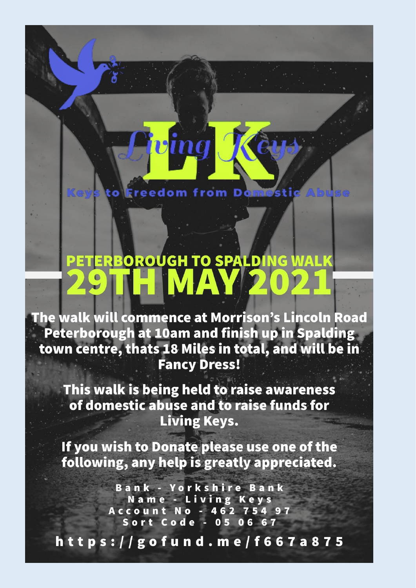**Ereedom from Dom** 

ina

19

# PETERBOROUGH TO SPALDING WALK

The walk will commence at Morrison's Lincoln Road Peterborough at 10am and finish up in Spalding town centre, thats 18 Miles in total, and will be in **Fancy Dress!** 

This walk is being held to raise awareness of domestic abuse and to raise funds for **Living Keys.** 

If you wish to Donate please use one of the following, any help is greatly appreciated.

> **Bank - Yorkshire Bank** Name - Living Keys Account No - 462 754 97 Sort Code - 05 06 67

https://gofund.me/f667a875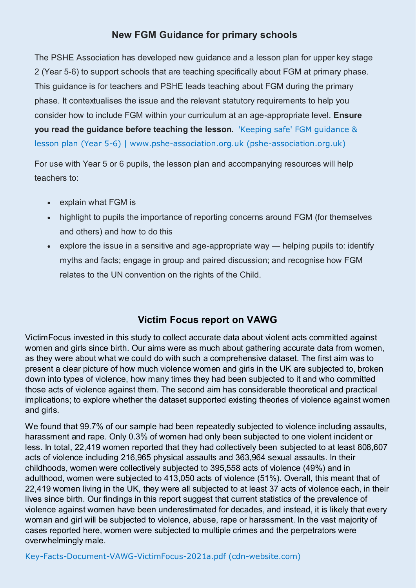### **New FGM Guidance for primary schools**

The PSHE Association has developed new guidance and a lesson plan for upper key stage 2 (Year 5-6) to support schools that are teaching specifically about FGM at primary phase. This guidance is for teachers and PSHE leads teaching about FGM during the primary phase. It contextualises the issue and the relevant statutory requirements to help you consider how to include FGM within your curriculum at an age-appropriate level. **Ensure you read the guidance before teaching the lesson.** ['Keeping safe' FGM guidance &](https://www.pshe-association.org.uk/curriculum-and-resources/resources/keeping-safe-fgm-guidance-lesson-plan-year-5-6)  [lesson plan \(Year 5-6\) | www.pshe-association.org.uk \(pshe-association.org.uk\)](https://www.pshe-association.org.uk/curriculum-and-resources/resources/keeping-safe-fgm-guidance-lesson-plan-year-5-6)

For use with Year 5 or 6 pupils, the lesson plan and accompanying resources will help teachers to:

- explain what FGM is
- highlight to pupils the importance of reporting concerns around FGM (for themselves and others) and how to do this
- explore the issue in a sensitive and age-appropriate way  $-$  helping pupils to: identify myths and facts; engage in group and paired discussion; and recognise how FGM relates to the UN convention on the rights of the Child.

### **Victim Focus report on VAWG**

VictimFocus invested in this study to collect accurate data about violent acts committed against women and girls since birth. Our aims were as much about gathering accurate data from women, as they were about what we could do with such a comprehensive dataset. The first aim was to present a clear picture of how much violence women and girls in the UK are subjected to, broken down into types of violence, how many times they had been subjected to it and who committed those acts of violence against them. The second aim has considerable theoretical and practical implications; to explore whether the dataset supported existing theories of violence against women and girls.

We found that 99.7% of our sample had been repeatedly subjected to violence including assaults, harassment and rape. Only 0.3% of women had only been subjected to one violent incident or less. In total, 22,419 women reported that they had collectively been subjected to at least 808,607 acts of violence including 216,965 physical assaults and 363,964 sexual assaults. In their childhoods, women were collectively subjected to 395,558 acts of violence (49%) and in adulthood, women were subjected to 413,050 acts of violence (51%). Overall, this meant that of 22,419 women living in the UK, they were all subjected to at least 37 acts of violence each, in their lives since birth. Our findings in this report suggest that current statistics of the prevalence of violence against women have been underestimated for decades, and instead, it is likely that every woman and girl will be subjected to violence, abuse, rape or harassment. In the vast majority of cases reported here, women were subjected to multiple crimes and the perpetrators were overwhelmingly male.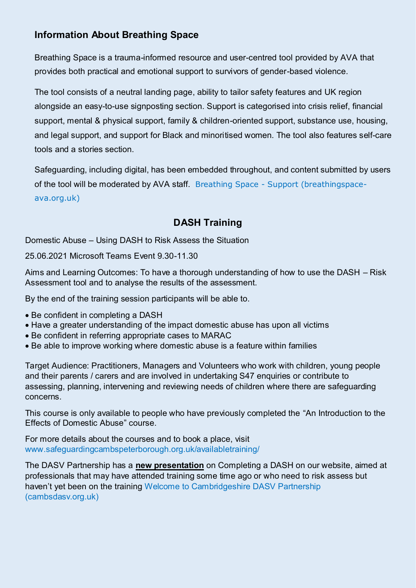## **Information About Breathing Space**

Breathing Space is a trauma-informed resource and user-centred tool provided by AVA that provides both practical and emotional support to survivors of gender-based violence.

The tool consists of a neutral landing page, ability to tailor safety features and UK region alongside an easy-to-use signposting section. Support is categorised into crisis relief, financial support, mental & physical support, family & children-oriented support, substance use, housing, and legal support, and support for Black and minoritised women. The tool also features self-care tools and a stories section.

Safeguarding, including digital, has been embedded throughout, and content submitted by users of the tool will be moderated by AVA staff. [Breathing Space - Support \(breathingspace](https://www.breathingspace-ava.org.uk/)[ava.org.uk\)](https://www.breathingspace-ava.org.uk/)

## **DASH Training**

Domestic Abuse – Using DASH to Risk Assess the Situation

25.06.2021 Microsoft Teams Event 9.30-11.30

Aims and Learning Outcomes: To have a thorough understanding of how to use the DASH – Risk Assessment tool and to analyse the results of the assessment.

By the end of the training session participants will be able to.

- Be confident in completing a DASH
- Have a greater understanding of the impact domestic abuse has upon all victims
- Be confident in referring appropriate cases to MARAC
- Be able to improve working where domestic abuse is a feature within families

Target Audience: Practitioners, Managers and Volunteers who work with children, young people and their parents / carers and are involved in undertaking S47 enquiries or contribute to assessing, planning, intervening and reviewing needs of children where there are safeguarding concerns.

This course is only available to people who have previously completed the "An Introduction to the Effects of Domestic Abuse" course.

For more details about the courses and to book a place, visit [www.safeguardingcambspeterborough.org.uk/availabletraining/](http://www.safeguardingcambspeterborough.org.uk/availabletraining/) 

The DASV Partnership has a **new presentation** on Completing a DASH on our website, aimed at professionals that may have attended training some time ago or who need to risk assess but haven't yet been on the training [Welcome to Cambridgeshire DASV Partnership](https://www.cambsdasv.org.uk/website/training_presentations_for_professionals/502658)  [\(cambsdasv.org.uk\)](https://www.cambsdasv.org.uk/website/training_presentations_for_professionals/502658)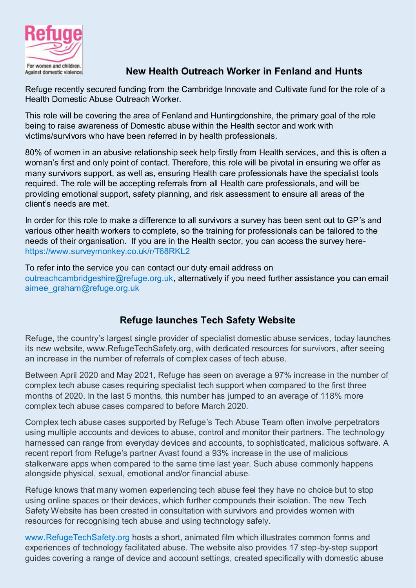

## Against domestic violence.<br>Against domestic violence.<br>**New Health Outreach Worker in Fenland and Hunts**

Refuge recently secured funding from the Cambridge Innovate and Cultivate fund for the role of a Health Domestic Abuse Outreach Worker.

This role will be covering the area of Fenland and Huntingdonshire, the primary goal of the role being to raise awareness of Domestic abuse within the Health sector and work with victims/survivors who have been referred in by health professionals.

80% of women in an abusive relationship seek help firstly from Health services, and this is often a woman's first and only point of contact. Therefore, this role will be pivotal in ensuring we offer as many survivors support, as well as, ensuring Health care professionals have the specialist tools required. The role will be accepting referrals from all Health care professionals, and will be providing emotional support, safety planning, and risk assessment to ensure all areas of the client's needs are met.

In order for this role to make a difference to all survivors a survey has been sent out to GP's and various other health workers to complete, so the training for professionals can be tailored to the needs of their organisation. If you are in the Health sector, you can access the survey here<https://www.surveymonkey.co.uk/r/T68RKL2>

To refer into the service you can contact our duty email address on [outreachcambridgeshire@refuge.org.uk,](mailto:outreachcambridgeshire@refuge.org.uk) alternatively if you need further assistance you can email [aimee\\_graham@refuge.org.uk](mailto:aimee_graham@refuge.org.uk) 

# **Refuge launches Tech Safety Website**

Refuge, the country's largest single provider of specialist domestic abuse services, today launches its new website, www.RefugeTechSafety.org, with dedicated resources for survivors, after seeing an increase in the number of referrals of complex cases of tech abuse.

Between April 2020 and May 2021, Refuge has seen on average a 97% increase in the number of complex tech abuse cases requiring specialist tech support when compared to the first three months of 2020. In the last 5 months, this number has jumped to an average of 118% more complex tech abuse cases compared to before March 2020.

Complex tech abuse cases supported by Refuge's Tech Abuse Team often involve perpetrators using multiple accounts and devices to abuse, control and monitor their partners. The technology harnessed can range from everyday devices and accounts, to sophisticated, malicious software. A recent report from Refuge's partner Avast found a 93% increase in the use of malicious stalkerware apps when compared to the same time last year. Such abuse commonly happens alongside physical, sexual, emotional and/or financial abuse.

Refuge knows that many women experiencing tech abuse feel they have no choice but to stop using online spaces or their devices, which further compounds their isolation. The new Tech Safety Website has been created in consultation with survivors and provides women with resources for recognising tech abuse and using technology safely.

[www.RefugeTechSafety.org](http://www.refugetechsafety.org/) hosts a short, animated film which illustrates common forms and experiences of technology facilitated abuse. The website also provides 17 step-by-step support guides covering a range of device and account settings, created specifically with domestic abuse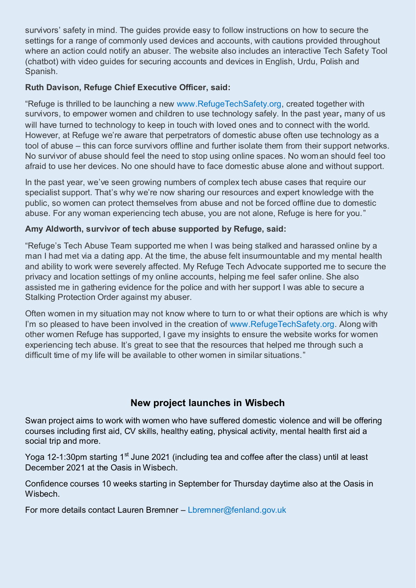survivors' safety in mind. The guides provide easy to follow instructions on how to secure the settings for a range of commonly used devices and accounts, with cautions provided throughout where an action could notify an abuser. The website also includes an interactive Tech Safety Tool (chatbot) with video guides for securing accounts and devices in English, Urdu, Polish and Spanish.

### **Ruth Davison, Refuge Chief Executive Officer, said:**

"Refuge is thrilled to be launching a new [www.RefugeTechSafety.org,](http://www.refugetechsafety.org/) created together with survivors, to empower women and children to use technology safely. In the past year**,** many of us will have turned to technology to keep in touch with loved ones and to connect with the world. However, at Refuge we're aware that perpetrators of domestic abuse often use technology as a tool of abuse – this can force survivors offline and further isolate them from their support networks. No survivor of abuse should feel the need to stop using online spaces. No woman should feel too afraid to use her devices. No one should have to face domestic abuse alone and without support.

In the past year, we've seen growing numbers of complex tech abuse cases that require our specialist support. That's why we're now sharing our resources and expert knowledge with the public, so women can protect themselves from abuse and not be forced offline due to domestic abuse. For any woman experiencing tech abuse, you are not alone, Refuge is here for you."

### **Amy Aldworth, survivor of tech abuse supported by Refuge, said:**

"Refuge's Tech Abuse Team supported me when I was being stalked and harassed online by a man I had met via a dating app. At the time, the abuse felt insurmountable and my mental health and ability to work were severely affected. My Refuge Tech Advocate supported me to secure the privacy and location settings of my online accounts, helping me feel safer online. She also assisted me in gathering evidence for the police and with her support I was able to secure a Stalking Protection Order against my abuser.

Often women in my situation may not know where to turn to or what their options are which is why I'm so pleased to have been involved in the creation of [www.RefugeTechSafety.org.](http://www.refugetechsafety.org/) Along with other women Refuge has supported, I gave my insights to ensure the website works for women experiencing tech abuse. It's great to see that the resources that helped me through such a difficult time of my life will be available to other women in similar situations."

### **New project launches in Wisbech**

Swan project aims to work with women who have suffered domestic violence and will be offering courses including first aid, CV skills, healthy eating, physical activity, mental health first aid a social trip and more.

Yoga 12-1:30pm starting 1<sup>st</sup> June 2021 (including tea and coffee after the class) until at least December 2021 at the Oasis in Wisbech.

Confidence courses 10 weeks starting in September for Thursday daytime also at the Oasis in Wisbech.

For more details contact Lauren Bremner – [Lbremner@fenland.gov.uk](mailto:Lbremner@fenland.gov.uk)